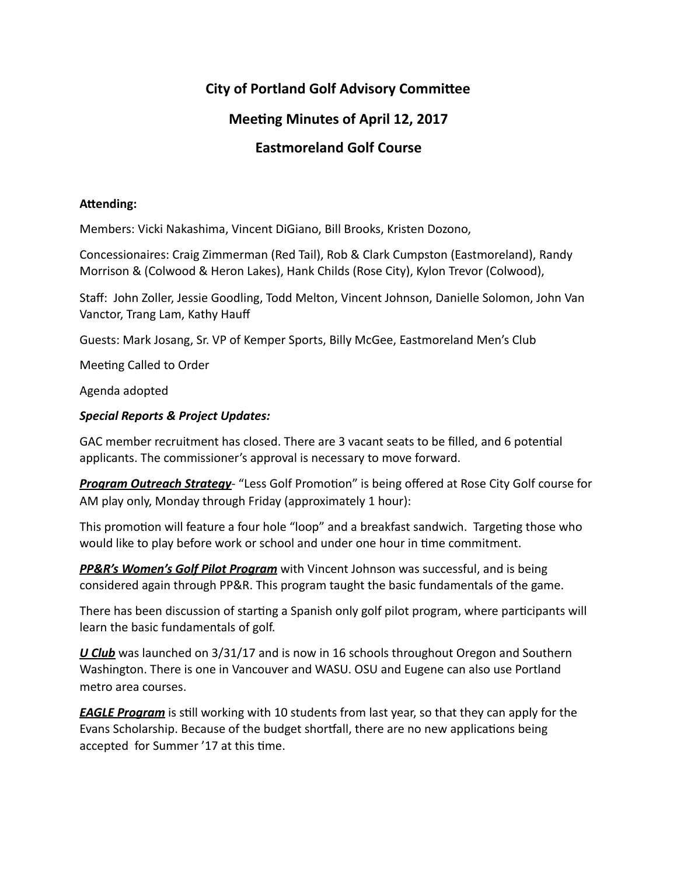# **City of Portland Golf Advisory Committee**

## **Meeting Minutes of April 12, 2017**

### **Eastmoreland Golf Course**

### Attending:

Members: Vicki Nakashima, Vincent DiGiano, Bill Brooks, Kristen Dozono,

Concessionaires: Craig Zimmerman (Red Tail), Rob & Clark Cumpston (Eastmoreland), Randy Morrison & (Colwood & Heron Lakes), Hank Childs (Rose City), Kylon Trevor (Colwood),

Staff: John Zoller, Jessie Goodling, Todd Melton, Vincent Johnson, Danielle Solomon, John Van Vanctor, Trang Lam, Kathy Hauff

Guests: Mark Josang, Sr. VP of Kemper Sports, Billy McGee, Eastmoreland Men's Club

Meeting Called to Order

Agenda adopted 

### **Special Reports & Project Updates:**

GAC member recruitment has closed. There are 3 vacant seats to be filled, and 6 potential applicants. The commissioner's approval is necessary to move forward.

**Program Outreach Strategy**- "Less Golf Promotion" is being offered at Rose City Golf course for AM play only, Monday through Friday (approximately 1 hour):

This promotion will feature a four hole "loop" and a breakfast sandwich. Targeting those who would like to play before work or school and under one hour in time commitment.

**PP&R's Women's Golf Pilot Program** with Vincent Johnson was successful, and is being considered again through PP&R. This program taught the basic fundamentals of the game.

There has been discussion of starting a Spanish only golf pilot program, where participants will learn the basic fundamentals of golf.

U Club was launched on 3/31/17 and is now in 16 schools throughout Oregon and Southern Washington. There is one in Vancouver and WASU. OSU and Eugene can also use Portland metro area courses.

*EAGLE Program* is still working with 10 students from last year, so that they can apply for the Evans Scholarship. Because of the budget shortfall, there are no new applications being accepted for Summer '17 at this time.